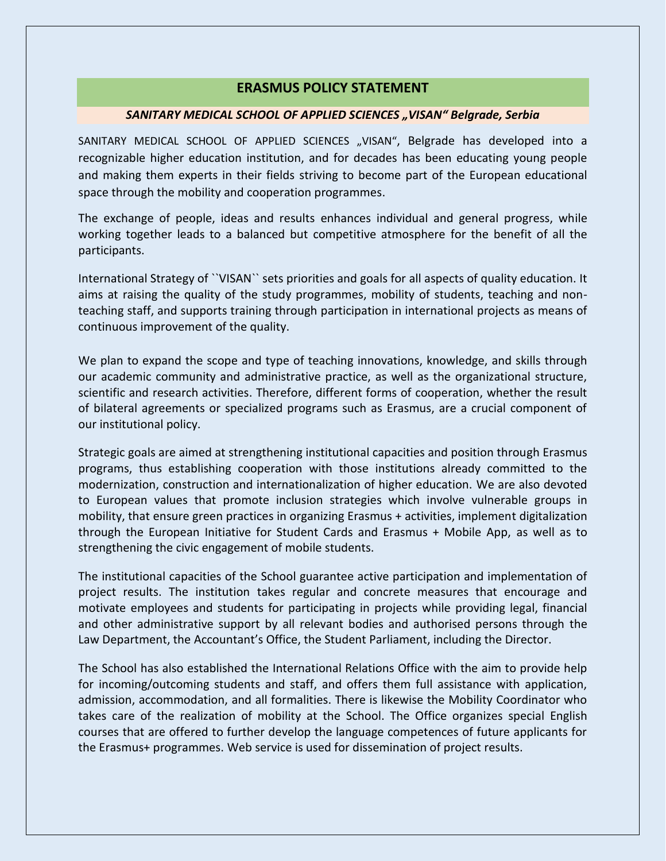## **ERASMUS POLICY STATEMENT**

## *SANITARY MEDICAL SCHOOL OF APPLIED SCIENCES "VISAN" Belgrade, Serbia*

SANITARY MEDICAL SCHOOL OF APPLIED SCIENCES "VISAN", Belgrade has developed into a recognizable higher education institution, and for decades has been educating young people and making them experts in their fields striving to become part of the European educational space through the mobility and cooperation programmes.

The exchange of people, ideas and results enhances individual and general progress, while working together leads to a balanced but competitive atmosphere for the benefit of all the participants.

International Strategy of ``VISAN`` sets priorities and goals for all aspects of quality education. It aims at raising the quality of the study programmes, mobility of students, teaching and nonteaching staff, and supports training through participation in international projects as means of continuous improvement of the quality.

We plan to expand the scope and type of teaching innovations, knowledge, and skills through our academic community and administrative practice, as well as the organizational structure, scientific and research activities. Therefore, different forms of cooperation, whether the result of bilateral agreements or specialized programs such as Erasmus, are a crucial component of our institutional policy.

Strategic goals are aimed at strengthening institutional capacities and position through Erasmus programs, thus establishing cooperation with those institutions already committed to the modernization, construction and internationalization of higher education. We are also devoted to European values that promote inclusion strategies which involve vulnerable groups in mobility, that ensure green practices in organizing Erasmus + activities, implement digitalization through the European Initiative for Student Cards and Erasmus + Mobile App, as well as to strengthening the civic engagement of mobile students.

The institutional capacities of the School guarantee active participation and implementation of project results. The institution takes regular and concrete measures that encourage and motivate employees and students for participating in projects while providing legal, financial and other administrative support by all relevant bodies and authorised persons through the Law Department, the Accountant's Office, the Student Parliament, including the Director.

The School has also established the International Relations Office with the aim to provide help for incoming/outcoming students and staff, and offers them full assistance with application, admission, accommodation, and all formalities. There is likewise the Mobility Coordinator who takes care of the realization of mobility at the School. The Office organizes special English courses that are offered to further develop the language competences of future applicants for the Erasmus+ programmes. Web service is used for dissemination of project results.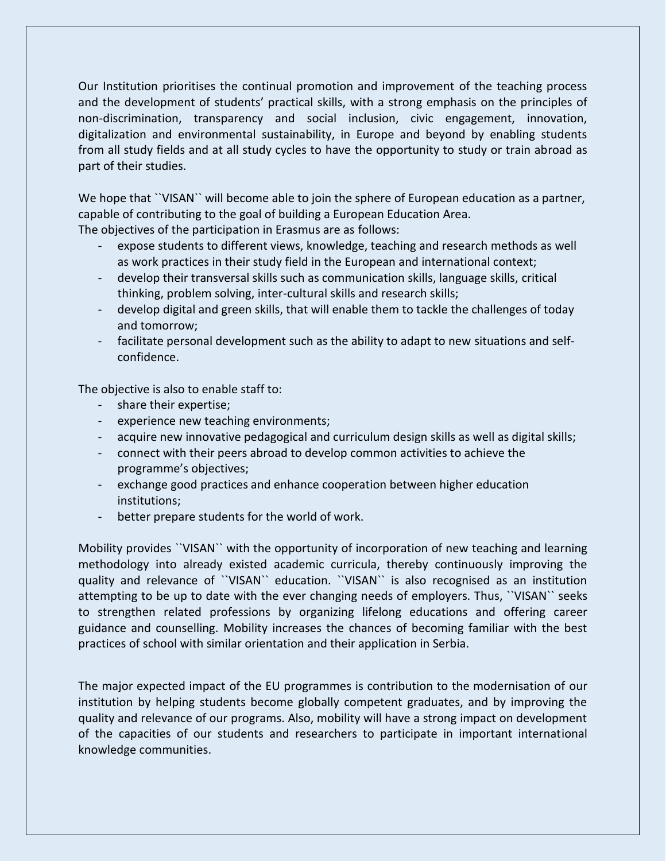Our Institution prioritises the continual promotion and improvement of the teaching process and the development of students' practical skills, with a strong emphasis on the principles of non-discrimination, transparency and social inclusion, civic engagement, innovation, digitalization and environmental sustainability, in Europe and beyond by enabling students from all study fields and at all study cycles to have the opportunity to study or train abroad as part of their studies.

We hope that ``VISAN`` will become able to join the sphere of European education as a partner, capable of contributing to the goal of building a European Education Area.

The objectives of the participation in Erasmus are as follows:

- expose students to different views, knowledge, teaching and research methods as well as work practices in their study field in the European and international context;
- develop their transversal skills such as communication skills, language skills, critical thinking, problem solving, inter-cultural skills and research skills;
- develop digital and green skills, that will enable them to tackle the challenges of today and tomorrow;
- facilitate personal development such as the ability to adapt to new situations and selfconfidence.

The objective is also to enable staff to:

- share their expertise;
- experience new teaching environments;
- acquire new innovative pedagogical and curriculum design skills as well as digital skills;
- connect with their peers abroad to develop common activities to achieve the programme's objectives;
- exchange good practices and enhance cooperation between higher education institutions;
- better prepare students for the world of work.

Mobility provides ``VISAN`` with the opportunity of incorporation of new teaching and learning methodology into already existed academic curricula, thereby continuously improving the quality and relevance of ``VISAN`` education. ``VISAN`` is also recognised as an institution attempting to be up to date with the ever changing needs of employers. Thus, ``VISAN`` seeks to strengthen related professions by organizing lifelong educations and offering career guidance and counselling. Mobility increases the chances of becoming familiar with the best practices of school with similar orientation and their application in Serbia.

The major expected impact of the EU programmes is contribution to the modernisation of our institution by helping students become globally competent graduates, and by improving the quality and relevance of our programs. Also, mobility will have a strong impact on development of the capacities of our students and researchers to participate in important international knowledge communities.